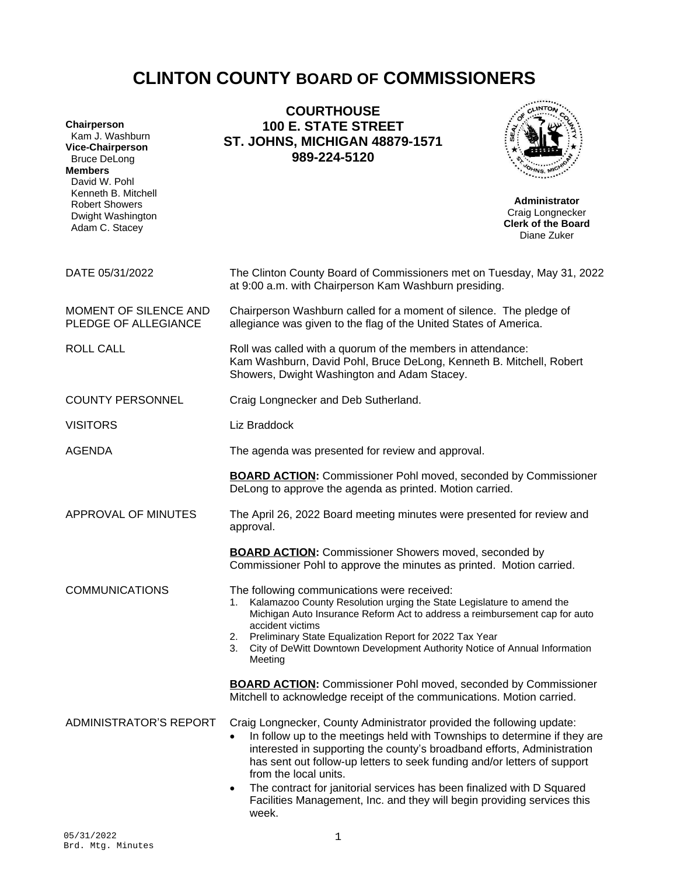# **CLINTON COUNTY BOARD OF COMMISSIONERS**

| Chairperson<br>Kam J. Washburn<br><b>Vice-Chairperson</b><br><b>Bruce DeLong</b><br><b>Members</b><br>David W. Pohl<br>Kenneth B. Mitchell<br><b>Robert Showers</b><br>Dwight Washington<br>Adam C. Stacey | <b>COURTHOUSE</b><br><b>100 E. STATE STREET</b><br><b>ST. JOHNS, MICHIGAN 48879-1571</b><br>989-224-5120                                                                                                                                                                                                                                                                                                                                                                                                           | <b>Administrator</b><br>Craig Longnecker<br><b>Clerk of the Board</b><br>Diane Zuker |
|------------------------------------------------------------------------------------------------------------------------------------------------------------------------------------------------------------|--------------------------------------------------------------------------------------------------------------------------------------------------------------------------------------------------------------------------------------------------------------------------------------------------------------------------------------------------------------------------------------------------------------------------------------------------------------------------------------------------------------------|--------------------------------------------------------------------------------------|
| DATE 05/31/2022                                                                                                                                                                                            | The Clinton County Board of Commissioners met on Tuesday, May 31, 2022<br>at 9:00 a.m. with Chairperson Kam Washburn presiding.                                                                                                                                                                                                                                                                                                                                                                                    |                                                                                      |
| MOMENT OF SILENCE AND<br>PLEDGE OF ALLEGIANCE                                                                                                                                                              | Chairperson Washburn called for a moment of silence. The pledge of<br>allegiance was given to the flag of the United States of America.                                                                                                                                                                                                                                                                                                                                                                            |                                                                                      |
| <b>ROLL CALL</b>                                                                                                                                                                                           | Roll was called with a quorum of the members in attendance:<br>Kam Washburn, David Pohl, Bruce DeLong, Kenneth B. Mitchell, Robert<br>Showers, Dwight Washington and Adam Stacey.                                                                                                                                                                                                                                                                                                                                  |                                                                                      |
| <b>COUNTY PERSONNEL</b>                                                                                                                                                                                    | Craig Longnecker and Deb Sutherland.                                                                                                                                                                                                                                                                                                                                                                                                                                                                               |                                                                                      |
| <b>VISITORS</b>                                                                                                                                                                                            | Liz Braddock                                                                                                                                                                                                                                                                                                                                                                                                                                                                                                       |                                                                                      |
| <b>AGENDA</b>                                                                                                                                                                                              | The agenda was presented for review and approval.                                                                                                                                                                                                                                                                                                                                                                                                                                                                  |                                                                                      |
|                                                                                                                                                                                                            | <b>BOARD ACTION:</b> Commissioner Pohl moved, seconded by Commissioner<br>DeLong to approve the agenda as printed. Motion carried.                                                                                                                                                                                                                                                                                                                                                                                 |                                                                                      |
| APPROVAL OF MINUTES                                                                                                                                                                                        | The April 26, 2022 Board meeting minutes were presented for review and<br>approval.                                                                                                                                                                                                                                                                                                                                                                                                                                |                                                                                      |
|                                                                                                                                                                                                            | <b>BOARD ACTION:</b> Commissioner Showers moved, seconded by<br>Commissioner Pohl to approve the minutes as printed. Motion carried.                                                                                                                                                                                                                                                                                                                                                                               |                                                                                      |
| <b>COMMUNICATIONS</b>                                                                                                                                                                                      | The following communications were received:<br>1. Kalamazoo County Resolution urging the State Legislature to amend the<br>Michigan Auto Insurance Reform Act to address a reimbursement cap for auto<br>accident victims<br>Preliminary State Equalization Report for 2022 Tax Year<br>2.<br>City of DeWitt Downtown Development Authority Notice of Annual Information<br>3.<br>Meeting                                                                                                                          |                                                                                      |
|                                                                                                                                                                                                            | <b>BOARD ACTION:</b> Commissioner Pohl moved, seconded by Commissioner<br>Mitchell to acknowledge receipt of the communications. Motion carried.                                                                                                                                                                                                                                                                                                                                                                   |                                                                                      |
| ADMINISTRATOR'S REPORT                                                                                                                                                                                     | Craig Longnecker, County Administrator provided the following update:<br>In follow up to the meetings held with Townships to determine if they are<br>$\bullet$<br>interested in supporting the county's broadband efforts, Administration<br>has sent out follow-up letters to seek funding and/or letters of support<br>from the local units.<br>The contract for janitorial services has been finalized with D Squared<br>٠<br>Facilities Management, Inc. and they will begin providing services this<br>week. |                                                                                      |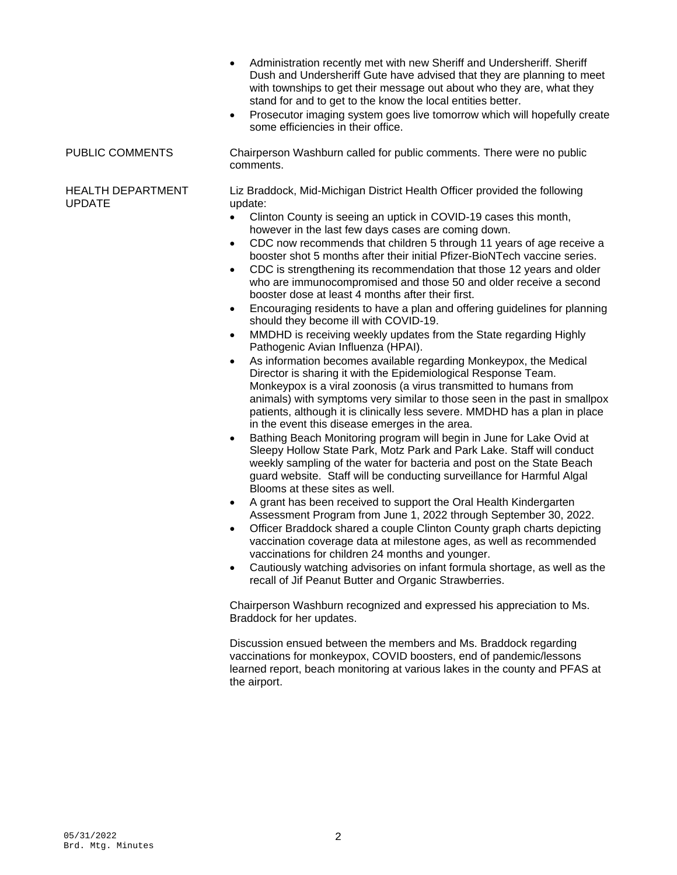- Administration recently met with new Sheriff and Undersheriff. Sheriff Dush and Undersheriff Gute have advised that they are planning to meet with townships to get their message out about who they are, what they stand for and to get to the know the local entities better.
- Prosecutor imaging system goes live tomorrow which will hopefully create some efficiencies in their office.

PUBLIC COMMENTS Chairperson Washburn called for public comments. There were no public comments.

### HEALTH DEPARTMENT UPDATE

Liz Braddock, Mid-Michigan District Health Officer provided the following update:

- Clinton County is seeing an uptick in COVID-19 cases this month, however in the last few days cases are coming down.
- CDC now recommends that children 5 through 11 years of age receive a booster shot 5 months after their initial Pfizer-BioNTech vaccine series.
- CDC is strengthening its recommendation that those 12 years and older who are immunocompromised and those 50 and older receive a second booster dose at least 4 months after their first.
- Encouraging residents to have a plan and offering guidelines for planning should they become ill with COVID-19.
- MMDHD is receiving weekly updates from the State regarding Highly Pathogenic Avian Influenza (HPAI).
- As information becomes available regarding Monkeypox, the Medical Director is sharing it with the Epidemiological Response Team. Monkeypox is a viral zoonosis (a virus transmitted to humans from animals) with symptoms very similar to those seen in the past in smallpox patients, although it is clinically less severe. MMDHD has a plan in place in the event this disease emerges in the area.
- Bathing Beach Monitoring program will begin in June for Lake Ovid at Sleepy Hollow State Park, Motz Park and Park Lake. Staff will conduct weekly sampling of the water for bacteria and post on the State Beach guard website. Staff will be conducting surveillance for Harmful Algal Blooms at these sites as well.
- A grant has been received to support the Oral Health Kindergarten Assessment Program from June 1, 2022 through September 30, 2022.
- Officer Braddock shared a couple Clinton County graph charts depicting vaccination coverage data at milestone ages, as well as recommended vaccinations for children 24 months and younger.
- Cautiously watching advisories on infant formula shortage, as well as the recall of Jif Peanut Butter and Organic Strawberries.

Chairperson Washburn recognized and expressed his appreciation to Ms. Braddock for her updates.

Discussion ensued between the members and Ms. Braddock regarding vaccinations for monkeypox, COVID boosters, end of pandemic/lessons learned report, beach monitoring at various lakes in the county and PFAS at the airport.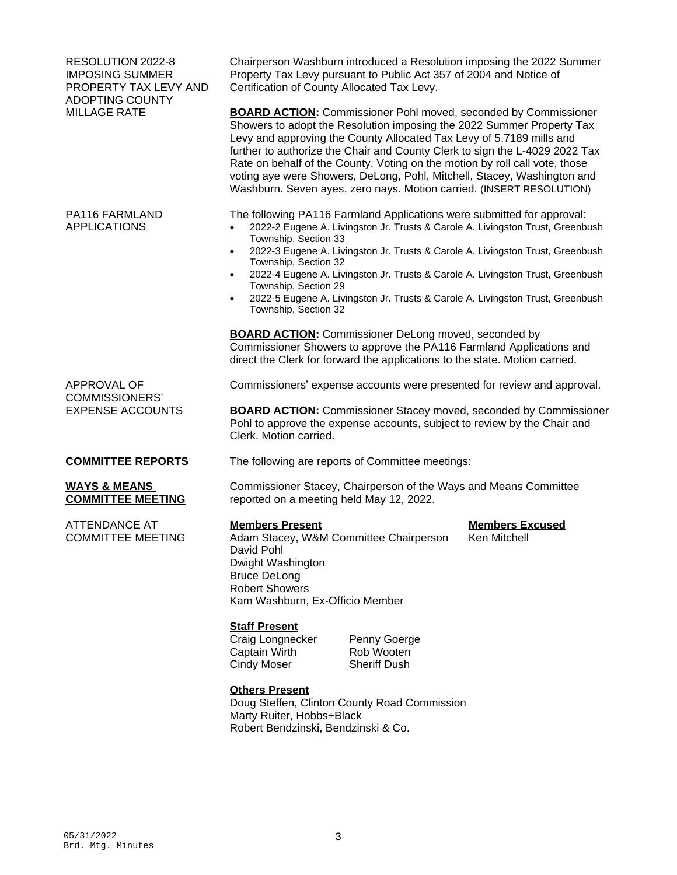| RESOLUTION 2022-8<br><b>IMPOSING SUMMER</b><br>PROPERTY TAX LEVY AND<br><b>ADOPTING COUNTY</b><br><b>MILLAGE RATE</b> | Chairperson Washburn introduced a Resolution imposing the 2022 Summer<br>Property Tax Levy pursuant to Public Act 357 of 2004 and Notice of<br>Certification of County Allocated Tax Levy.                                                                                                                                                                                                                                                                                                                                               |                                        |
|-----------------------------------------------------------------------------------------------------------------------|------------------------------------------------------------------------------------------------------------------------------------------------------------------------------------------------------------------------------------------------------------------------------------------------------------------------------------------------------------------------------------------------------------------------------------------------------------------------------------------------------------------------------------------|----------------------------------------|
|                                                                                                                       | <b>BOARD ACTION:</b> Commissioner Pohl moved, seconded by Commissioner<br>Showers to adopt the Resolution imposing the 2022 Summer Property Tax<br>Levy and approving the County Allocated Tax Levy of 5.7189 mills and<br>further to authorize the Chair and County Clerk to sign the L-4029 2022 Tax<br>Rate on behalf of the County. Voting on the motion by roll call vote, those<br>voting aye were Showers, DeLong, Pohl, Mitchell, Stacey, Washington and<br>Washburn. Seven ayes, zero nays. Motion carried. (INSERT RESOLUTION) |                                        |
| PA116 FARMLAND<br><b>APPLICATIONS</b>                                                                                 | The following PA116 Farmland Applications were submitted for approval:<br>2022-2 Eugene A. Livingston Jr. Trusts & Carole A. Livingston Trust, Greenbush<br>Township, Section 33<br>2022-3 Eugene A. Livingston Jr. Trusts & Carole A. Livingston Trust, Greenbush<br>$\bullet$                                                                                                                                                                                                                                                          |                                        |
|                                                                                                                       | Township, Section 32<br>2022-4 Eugene A. Livingston Jr. Trusts & Carole A. Livingston Trust, Greenbush<br>$\bullet$<br>Township, Section 29<br>2022-5 Eugene A. Livingston Jr. Trusts & Carole A. Livingston Trust, Greenbush<br>Township, Section 32                                                                                                                                                                                                                                                                                    |                                        |
|                                                                                                                       | <b>BOARD ACTION:</b> Commissioner DeLong moved, seconded by<br>Commissioner Showers to approve the PA116 Farmland Applications and<br>direct the Clerk for forward the applications to the state. Motion carried.                                                                                                                                                                                                                                                                                                                        |                                        |
| APPROVAL OF                                                                                                           | Commissioners' expense accounts were presented for review and approval.                                                                                                                                                                                                                                                                                                                                                                                                                                                                  |                                        |
| <b>COMMISSIONERS'</b><br><b>EXPENSE ACCOUNTS</b>                                                                      | <b>BOARD ACTION:</b> Commissioner Stacey moved, seconded by Commissioner<br>Pohl to approve the expense accounts, subject to review by the Chair and<br>Clerk. Motion carried.                                                                                                                                                                                                                                                                                                                                                           |                                        |
| <b>COMMITTEE REPORTS</b>                                                                                              | The following are reports of Committee meetings:                                                                                                                                                                                                                                                                                                                                                                                                                                                                                         |                                        |
| <b>WAYS &amp; MEANS</b><br><b>COMMITTEE MEETING</b>                                                                   | Commissioner Stacey, Chairperson of the Ways and Means Committee<br>reported on a meeting held May 12, 2022.                                                                                                                                                                                                                                                                                                                                                                                                                             |                                        |
| <b>ATTENDANCE AT</b><br><b>COMMITTEE MEETING</b>                                                                      | <b>Members Present</b><br>Adam Stacey, W&M Committee Chairperson<br>David Pohl<br>Dwight Washington<br><b>Bruce DeLong</b><br><b>Robert Showers</b><br>Kam Washburn, Ex-Officio Member                                                                                                                                                                                                                                                                                                                                                   | <b>Members Excused</b><br>Ken Mitchell |
|                                                                                                                       | <b>Staff Present</b><br>Craig Longnecker<br>Penny Goerge<br>Rob Wooten<br>Captain Wirth<br><b>Sheriff Dush</b><br><b>Cindy Moser</b>                                                                                                                                                                                                                                                                                                                                                                                                     |                                        |
|                                                                                                                       | <b>Others Present</b><br>Doug Steffen, Clinton County Road Commission                                                                                                                                                                                                                                                                                                                                                                                                                                                                    |                                        |

Marty Ruiter, Hobbs+Black

Robert Bendzinski, Bendzinski & Co.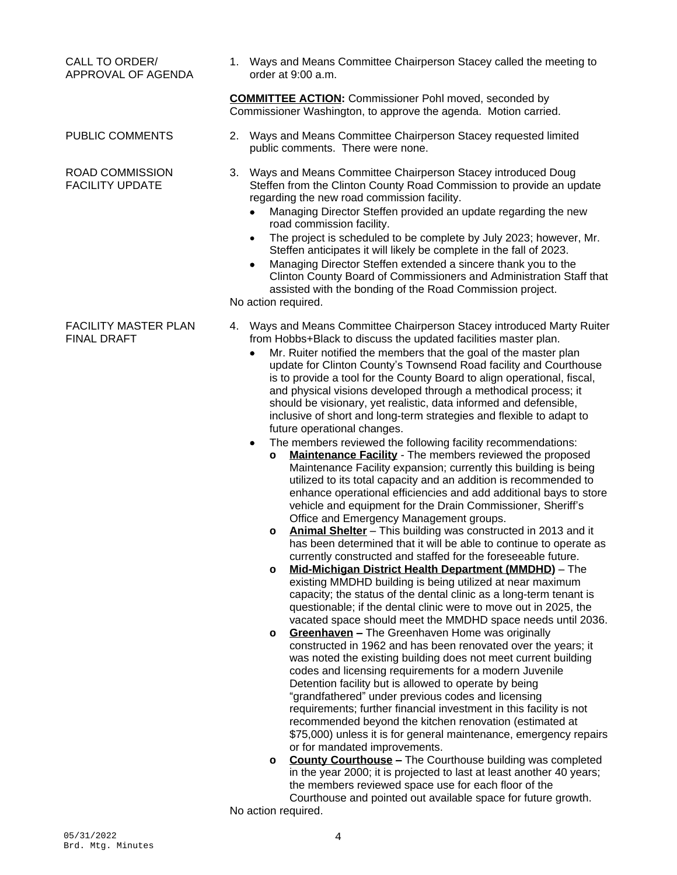|                                                   | <b>COMMITTEE ACTION:</b> Commissioner Pohl moved, seconded by<br>Commissioner Washington, to approve the agenda. Motion carried.                                                                                                                                                                                                                                                                                                                                                                                                                                                                                                                                                                                                                                                                                                                                                                                                                                                                                                                                                                                                                                                                                                                                                                                                                                                                                                                                                                                                                                                                                                                                                                                                                                                                                                                                                                                                                                                                                                                                                                                                                                                                                                                                                                                                                                                                                                                                                                                                                  |
|---------------------------------------------------|---------------------------------------------------------------------------------------------------------------------------------------------------------------------------------------------------------------------------------------------------------------------------------------------------------------------------------------------------------------------------------------------------------------------------------------------------------------------------------------------------------------------------------------------------------------------------------------------------------------------------------------------------------------------------------------------------------------------------------------------------------------------------------------------------------------------------------------------------------------------------------------------------------------------------------------------------------------------------------------------------------------------------------------------------------------------------------------------------------------------------------------------------------------------------------------------------------------------------------------------------------------------------------------------------------------------------------------------------------------------------------------------------------------------------------------------------------------------------------------------------------------------------------------------------------------------------------------------------------------------------------------------------------------------------------------------------------------------------------------------------------------------------------------------------------------------------------------------------------------------------------------------------------------------------------------------------------------------------------------------------------------------------------------------------------------------------------------------------------------------------------------------------------------------------------------------------------------------------------------------------------------------------------------------------------------------------------------------------------------------------------------------------------------------------------------------------------------------------------------------------------------------------------------------------|
| PUBLIC COMMENTS                                   | 2.<br>Ways and Means Committee Chairperson Stacey requested limited<br>public comments. There were none.                                                                                                                                                                                                                                                                                                                                                                                                                                                                                                                                                                                                                                                                                                                                                                                                                                                                                                                                                                                                                                                                                                                                                                                                                                                                                                                                                                                                                                                                                                                                                                                                                                                                                                                                                                                                                                                                                                                                                                                                                                                                                                                                                                                                                                                                                                                                                                                                                                          |
| <b>ROAD COMMISSION</b><br><b>FACILITY UPDATE</b>  | Ways and Means Committee Chairperson Stacey introduced Doug<br>3.<br>Steffen from the Clinton County Road Commission to provide an update<br>regarding the new road commission facility.<br>Managing Director Steffen provided an update regarding the new<br>road commission facility.<br>The project is scheduled to be complete by July 2023; however, Mr.<br>$\bullet$<br>Steffen anticipates it will likely be complete in the fall of 2023.<br>Managing Director Steffen extended a sincere thank you to the<br>٠<br>Clinton County Board of Commissioners and Administration Staff that<br>assisted with the bonding of the Road Commission project.<br>No action required.                                                                                                                                                                                                                                                                                                                                                                                                                                                                                                                                                                                                                                                                                                                                                                                                                                                                                                                                                                                                                                                                                                                                                                                                                                                                                                                                                                                                                                                                                                                                                                                                                                                                                                                                                                                                                                                                |
| <b>FACILITY MASTER PLAN</b><br><b>FINAL DRAFT</b> | Ways and Means Committee Chairperson Stacey introduced Marty Ruiter<br>4.<br>from Hobbs+Black to discuss the updated facilities master plan.<br>Mr. Ruiter notified the members that the goal of the master plan<br>$\bullet$<br>update for Clinton County's Townsend Road facility and Courthouse<br>is to provide a tool for the County Board to align operational, fiscal,<br>and physical visions developed through a methodical process; it<br>should be visionary, yet realistic, data informed and defensible,<br>inclusive of short and long-term strategies and flexible to adapt to<br>future operational changes.<br>The members reviewed the following facility recommendations:<br>٠<br>Maintenance Facility - The members reviewed the proposed<br>$\circ$<br>Maintenance Facility expansion; currently this building is being<br>utilized to its total capacity and an addition is recommended to<br>enhance operational efficiencies and add additional bays to store<br>vehicle and equipment for the Drain Commissioner, Sheriff's<br>Office and Emergency Management groups.<br>Animal Shelter - This building was constructed in 2013 and it<br>$\circ$<br>has been determined that it will be able to continue to operate as<br>currently constructed and staffed for the foreseeable future.<br>Mid-Michigan District Health Department (MMDHD) - The<br>$\circ$<br>existing MMDHD building is being utilized at near maximum<br>capacity; the status of the dental clinic as a long-term tenant is<br>questionable; if the dental clinic were to move out in 2025, the<br>vacated space should meet the MMDHD space needs until 2036.<br>Greenhaven - The Greenhaven Home was originally<br>o<br>constructed in 1962 and has been renovated over the years; it<br>was noted the existing building does not meet current building<br>codes and licensing requirements for a modern Juvenile<br>Detention facility but is allowed to operate by being<br>"grandfathered" under previous codes and licensing<br>requirements; further financial investment in this facility is not<br>recommended beyond the kitchen renovation (estimated at<br>\$75,000) unless it is for general maintenance, emergency repairs<br>or for mandated improvements.<br><b>County Courthouse - The Courthouse building was completed</b><br>o<br>in the year 2000; it is projected to last at least another 40 years;<br>the members reviewed space use for each floor of the<br>Courthouse and pointed out available space for future growth. |

order at 9:00 a.m.

1. Ways and Means Committee Chairperson Stacey called the meeting to

No action required.

CALL TO ORDER/ APPROVAL OF AGENDA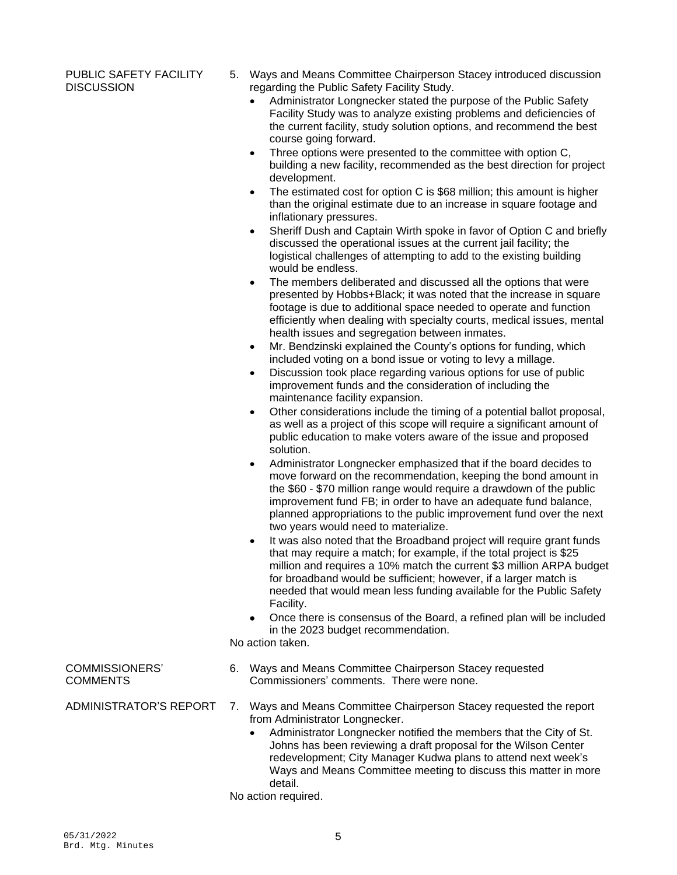### PUBLIC SAFETY FACILITY **DISCUSSION**

- 5. Ways and Means Committee Chairperson Stacey introduced discussion regarding the Public Safety Facility Study.
	- Administrator Longnecker stated the purpose of the Public Safety Facility Study was to analyze existing problems and deficiencies of the current facility, study solution options, and recommend the best course going forward.
	- Three options were presented to the committee with option C, building a new facility, recommended as the best direction for project development.
	- The estimated cost for option C is \$68 million; this amount is higher than the original estimate due to an increase in square footage and inflationary pressures.
	- Sheriff Dush and Captain Wirth spoke in favor of Option C and briefly discussed the operational issues at the current jail facility; the logistical challenges of attempting to add to the existing building would be endless.
	- The members deliberated and discussed all the options that were presented by Hobbs+Black; it was noted that the increase in square footage is due to additional space needed to operate and function efficiently when dealing with specialty courts, medical issues, mental health issues and segregation between inmates.
	- Mr. Bendzinski explained the County's options for funding, which included voting on a bond issue or voting to levy a millage.
	- Discussion took place regarding various options for use of public improvement funds and the consideration of including the maintenance facility expansion.
	- Other considerations include the timing of a potential ballot proposal, as well as a project of this scope will require a significant amount of public education to make voters aware of the issue and proposed solution.
	- Administrator Longnecker emphasized that if the board decides to move forward on the recommendation, keeping the bond amount in the \$60 - \$70 million range would require a drawdown of the public improvement fund FB; in order to have an adequate fund balance, planned appropriations to the public improvement fund over the next two years would need to materialize.
	- It was also noted that the Broadband project will require grant funds that may require a match; for example, if the total project is \$25 million and requires a 10% match the current \$3 million ARPA budget for broadband would be sufficient; however, if a larger match is needed that would mean less funding available for the Public Safety Facility.
	- Once there is consensus of the Board, a refined plan will be included in the 2023 budget recommendation.

No action taken.

- 6. Ways and Means Committee Chairperson Stacey requested Commissioners' comments. There were none.
- ADMINISTRATOR'S REPORT 7. Ways and Means Committee Chairperson Stacey requested the report from Administrator Longnecker.
	- Administrator Longnecker notified the members that the City of St. Johns has been reviewing a draft proposal for the Wilson Center redevelopment; City Manager Kudwa plans to attend next week's Ways and Means Committee meeting to discuss this matter in more detail.
	- No action required.

COMMISSIONERS' **COMMENTS**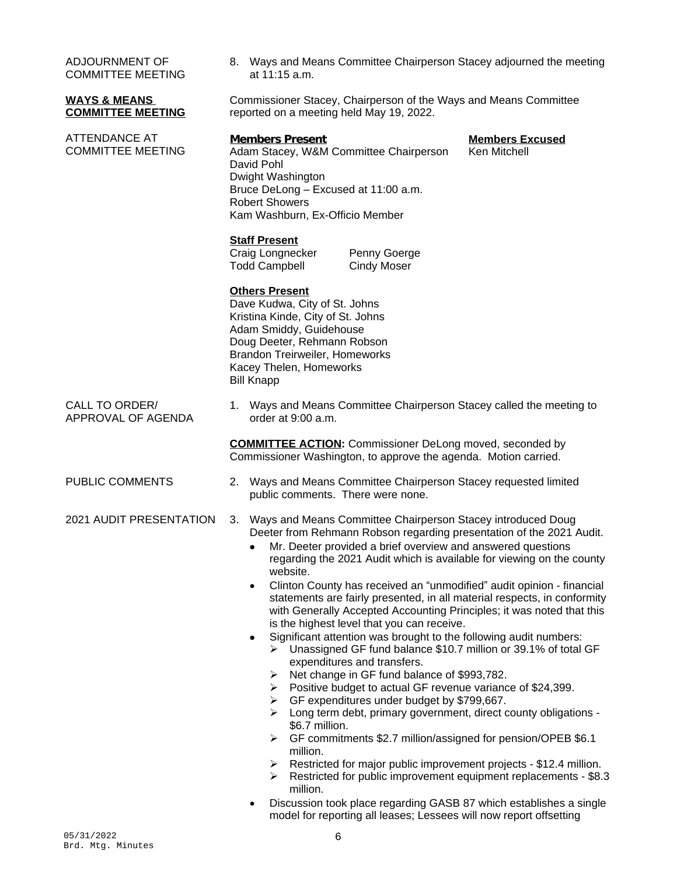ADJOURNMENT OF COMMITTEE MEETING

## **WAYS & MEANS COMMITTEE MEETING**

ATTENDANCE AT COMMITTEE MEETING 8. Ways and Means Committee Chairperson Stacey adjourned the meeting at 11:15 a.m.

Commissioner Stacey, Chairperson of the Ways and Means Committee reported on a meeting held May 19, 2022.

**Members Present**<br>Adam Stacev. W&M Committee Chairperson Ken Mitchell Adam Stacey, W&M Committee Chairperson David Pohl Dwight Washington Bruce DeLong – Excused at 11:00 a.m. Robert Showers Kam Washburn, Ex-Officio Member

## **Staff Present**

Craig Longnecker Penny Goerge Todd Campbell Cindy Moser

# **Others Present**

Dave Kudwa, City of St. Johns Kristina Kinde, City of St. Johns Adam Smiddy, Guidehouse Doug Deeter, Rehmann Robson Brandon Treirweiler, Homeworks Kacey Thelen, Homeworks Bill Knapp

CALL TO ORDER/ APPROVAL OF AGENDA 1. Ways and Means Committee Chairperson Stacey called the meeting to order at  $9:00$  a.m.

> **COMMITTEE ACTION:** Commissioner DeLong moved, seconded by Commissioner Washington, to approve the agenda. Motion carried.

- 
- 
- PUBLIC COMMENTS 2. Ways and Means Committee Chairperson Stacey requested limited public comments. There were none.

# 2021 AUDIT PRESENTATION 3. Ways and Means Committee Chairperson Stacey introduced Doug Deeter from Rehmann Robson regarding presentation of the 2021 Audit.

- Mr. Deeter provided a brief overview and answered questions regarding the 2021 Audit which is available for viewing on the county website.
- Clinton County has received an "unmodified" audit opinion financial statements are fairly presented, in all material respects, in conformity with Generally Accepted Accounting Principles; it was noted that this is the highest level that you can receive.
- Significant attention was brought to the following audit numbers:
- Unassigned GF fund balance \$10.7 million or 39.1% of total GF expenditures and transfers.
	- ▶ Net change in GF fund balance of \$993,782.
	- $\triangleright$  Positive budget to actual GF revenue variance of \$24,399.
	- GF expenditures under budget by \$799,667.
	- $\triangleright$  Long term debt, primary government, direct county obligations -\$6.7 million.
	- GF commitments \$2.7 million/assigned for pension/OPEB \$6.1 million.
	- Restricted for major public improvement projects \$12.4 million.
	- $\triangleright$  Restricted for public improvement equipment replacements \$8.3 million.
- Discussion took place regarding GASB 87 which establishes a single model for reporting all leases; Lessees will now report offsetting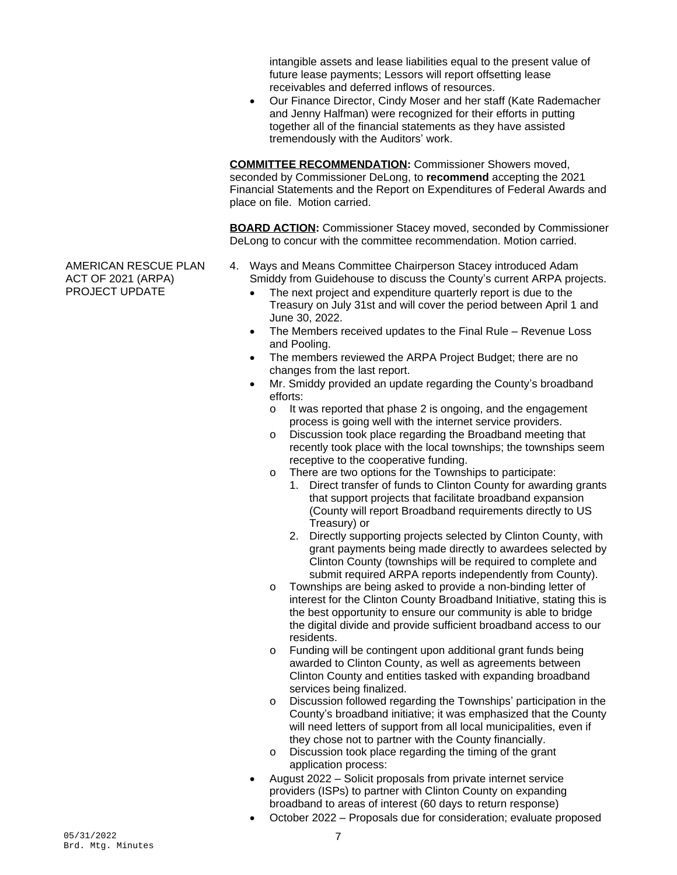intangible assets and lease liabilities equal to the present value of future lease payments; Lessors will report offsetting lease receivables and deferred inflows of resources.

 Our Finance Director, Cindy Moser and her staff (Kate Rademacher and Jenny Halfman) were recognized for their efforts in putting together all of the financial statements as they have assisted tremendously with the Auditors' work.

**COMMITTEE RECOMMENDATION:** Commissioner Showers moved, seconded by Commissioner DeLong, to **recommend** accepting the 2021 Financial Statements and the Report on Expenditures of Federal Awards and place on file. Motion carried.

**BOARD ACTION:** Commissioner Stacey moved, seconded by Commissioner DeLong to concur with the committee recommendation. Motion carried.

- 4. Ways and Means Committee Chairperson Stacey introduced Adam Smiddy from Guidehouse to discuss the County's current ARPA projects.
	- The next project and expenditure quarterly report is due to the Treasury on July 31st and will cover the period between April 1 and June 30, 2022.
	- The Members received updates to the Final Rule Revenue Loss and Pooling.
	- The members reviewed the ARPA Project Budget; there are no changes from the last report.
	- Mr. Smiddy provided an update regarding the County's broadband efforts:
		- o It was reported that phase 2 is ongoing, and the engagement process is going well with the internet service providers.
		- o Discussion took place regarding the Broadband meeting that recently took place with the local townships; the townships seem receptive to the cooperative funding.
		- o There are two options for the Townships to participate:
			- 1. Direct transfer of funds to Clinton County for awarding grants that support projects that facilitate broadband expansion (County will report Broadband requirements directly to US Treasury) or
			- 2. Directly supporting projects selected by Clinton County, with grant payments being made directly to awardees selected by Clinton County (townships will be required to complete and submit required ARPA reports independently from County).
		- o Townships are being asked to provide a non-binding letter of interest for the Clinton County Broadband Initiative, stating this is the best opportunity to ensure our community is able to bridge the digital divide and provide sufficient broadband access to our residents.
		- o Funding will be contingent upon additional grant funds being awarded to Clinton County, as well as agreements between Clinton County and entities tasked with expanding broadband services being finalized.
		- o Discussion followed regarding the Townships' participation in the County's broadband initiative; it was emphasized that the County will need letters of support from all local municipalities, even if they chose not to partner with the County financially.
		- o Discussion took place regarding the timing of the grant application process:
	- August 2022 Solicit proposals from private internet service providers (ISPs) to partner with Clinton County on expanding broadband to areas of interest (60 days to return response)
	- October 2022 Proposals due for consideration; evaluate proposed

AMERICAN RESCUE PLAN ACT OF 2021 (ARPA) PROJECT UPDATE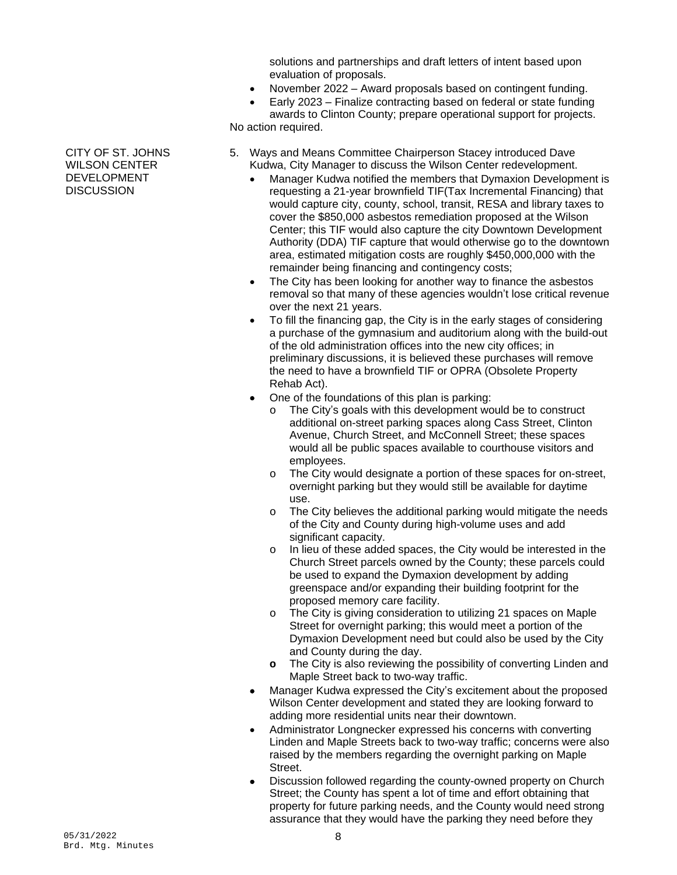solutions and partnerships and draft letters of intent based upon evaluation of proposals.

- November 2022 Award proposals based on contingent funding.
- Early 2023 Finalize contracting based on federal or state funding awards to Clinton County; prepare operational support for projects.

No action required.

- 5. Ways and Means Committee Chairperson Stacey introduced Dave Kudwa, City Manager to discuss the Wilson Center redevelopment.
	- Manager Kudwa notified the members that Dymaxion Development is requesting a 21-year brownfield TIF(Tax Incremental Financing) that would capture city, county, school, transit, RESA and library taxes to cover the \$850,000 asbestos remediation proposed at the Wilson Center; this TIF would also capture the city Downtown Development Authority (DDA) TIF capture that would otherwise go to the downtown area, estimated mitigation costs are roughly \$450,000,000 with the remainder being financing and contingency costs;
	- The City has been looking for another way to finance the asbestos removal so that many of these agencies wouldn't lose critical revenue over the next 21 years.
	- To fill the financing gap, the City is in the early stages of considering a purchase of the gymnasium and auditorium along with the build-out of the old administration offices into the new city offices; in preliminary discussions, it is believed these purchases will remove the need to have a brownfield TIF or OPRA (Obsolete Property Rehab Act).
	- One of the foundations of this plan is parking:
		- o The City's goals with this development would be to construct additional on-street parking spaces along Cass Street, Clinton Avenue, Church Street, and McConnell Street; these spaces would all be public spaces available to courthouse visitors and employees.
		- o The City would designate a portion of these spaces for on-street, overnight parking but they would still be available for daytime use.
		- o The City believes the additional parking would mitigate the needs of the City and County during high-volume uses and add significant capacity.
		- o In lieu of these added spaces, the City would be interested in the Church Street parcels owned by the County; these parcels could be used to expand the Dymaxion development by adding greenspace and/or expanding their building footprint for the proposed memory care facility.
		- o The City is giving consideration to utilizing 21 spaces on Maple Street for overnight parking; this would meet a portion of the Dymaxion Development need but could also be used by the City and County during the day.
		- **o** The City is also reviewing the possibility of converting Linden and Maple Street back to two-way traffic.
	- Manager Kudwa expressed the City's excitement about the proposed Wilson Center development and stated they are looking forward to adding more residential units near their downtown.
	- Administrator Longnecker expressed his concerns with converting Linden and Maple Streets back to two-way traffic; concerns were also raised by the members regarding the overnight parking on Maple Street.
	- Discussion followed regarding the county-owned property on Church Street; the County has spent a lot of time and effort obtaining that property for future parking needs, and the County would need strong assurance that they would have the parking they need before they

CITY OF ST. JOHNS WILSON CENTER DEVELOPMENT **DISCUSSION**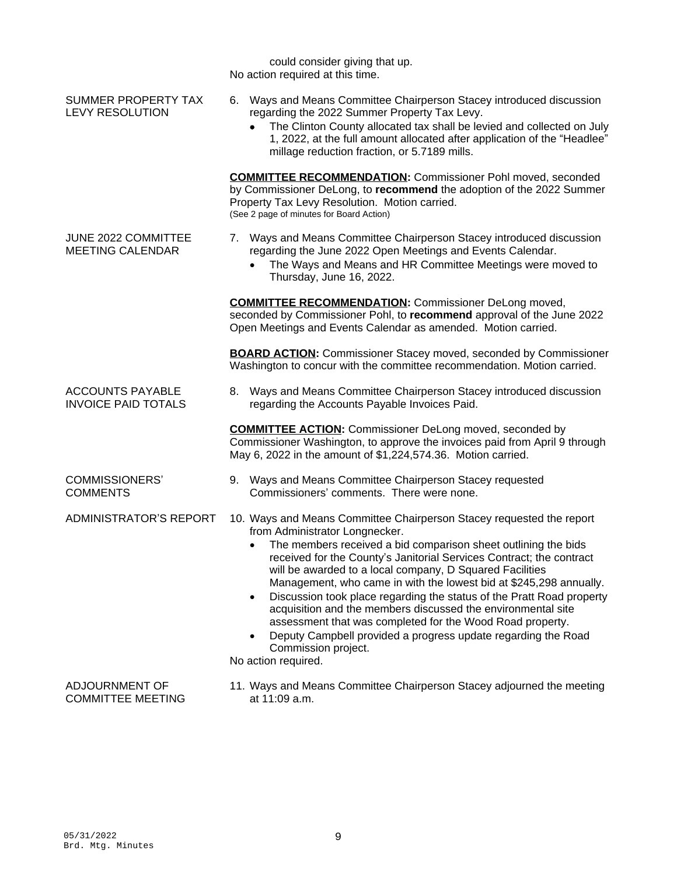|                                                       | could consider giving that up.<br>No action required at this time.                                                                                                                                                                                                                                                                                                                                                                                                                                                                                                                                                                                                                                                   |
|-------------------------------------------------------|----------------------------------------------------------------------------------------------------------------------------------------------------------------------------------------------------------------------------------------------------------------------------------------------------------------------------------------------------------------------------------------------------------------------------------------------------------------------------------------------------------------------------------------------------------------------------------------------------------------------------------------------------------------------------------------------------------------------|
| SUMMER PROPERTY TAX<br><b>LEVY RESOLUTION</b>         | 6. Ways and Means Committee Chairperson Stacey introduced discussion<br>regarding the 2022 Summer Property Tax Levy.<br>The Clinton County allocated tax shall be levied and collected on July<br>1, 2022, at the full amount allocated after application of the "Headlee"<br>millage reduction fraction, or 5.7189 mills.                                                                                                                                                                                                                                                                                                                                                                                           |
|                                                       | <b>COMMITTEE RECOMMENDATION:</b> Commissioner Pohl moved, seconded<br>by Commissioner DeLong, to recommend the adoption of the 2022 Summer<br>Property Tax Levy Resolution. Motion carried.<br>(See 2 page of minutes for Board Action)                                                                                                                                                                                                                                                                                                                                                                                                                                                                              |
| JUNE 2022 COMMITTEE<br><b>MEETING CALENDAR</b>        | 7. Ways and Means Committee Chairperson Stacey introduced discussion<br>regarding the June 2022 Open Meetings and Events Calendar.<br>The Ways and Means and HR Committee Meetings were moved to<br>Thursday, June 16, 2022.                                                                                                                                                                                                                                                                                                                                                                                                                                                                                         |
|                                                       | <b>COMMITTEE RECOMMENDATION:</b> Commissioner DeLong moved,<br>seconded by Commissioner Pohl, to recommend approval of the June 2022<br>Open Meetings and Events Calendar as amended. Motion carried.                                                                                                                                                                                                                                                                                                                                                                                                                                                                                                                |
|                                                       | <b>BOARD ACTION:</b> Commissioner Stacey moved, seconded by Commissioner<br>Washington to concur with the committee recommendation. Motion carried.                                                                                                                                                                                                                                                                                                                                                                                                                                                                                                                                                                  |
| <b>ACCOUNTS PAYABLE</b><br><b>INVOICE PAID TOTALS</b> | 8. Ways and Means Committee Chairperson Stacey introduced discussion<br>regarding the Accounts Payable Invoices Paid.                                                                                                                                                                                                                                                                                                                                                                                                                                                                                                                                                                                                |
|                                                       | <b>COMMITTEE ACTION:</b> Commissioner DeLong moved, seconded by<br>Commissioner Washington, to approve the invoices paid from April 9 through<br>May 6, 2022 in the amount of \$1,224,574.36. Motion carried.                                                                                                                                                                                                                                                                                                                                                                                                                                                                                                        |
| <b>COMMISSIONERS'</b><br><b>COMMENTS</b>              | 9. Ways and Means Committee Chairperson Stacey requested<br>Commissioners' comments. There were none.                                                                                                                                                                                                                                                                                                                                                                                                                                                                                                                                                                                                                |
| <b>ADMINISTRATOR'S REPORT</b>                         | 10. Ways and Means Committee Chairperson Stacey requested the report<br>from Administrator Longnecker.<br>The members received a bid comparison sheet outlining the bids<br>received for the County's Janitorial Services Contract; the contract<br>will be awarded to a local company, D Squared Facilities<br>Management, who came in with the lowest bid at \$245,298 annually.<br>Discussion took place regarding the status of the Pratt Road property<br>$\bullet$<br>acquisition and the members discussed the environmental site<br>assessment that was completed for the Wood Road property.<br>Deputy Campbell provided a progress update regarding the Road<br>Commission project.<br>No action required. |
| ADJOURNMENT OF<br><b>COMMITTEE MEETING</b>            | 11. Ways and Means Committee Chairperson Stacey adjourned the meeting<br>at 11:09 a.m.                                                                                                                                                                                                                                                                                                                                                                                                                                                                                                                                                                                                                               |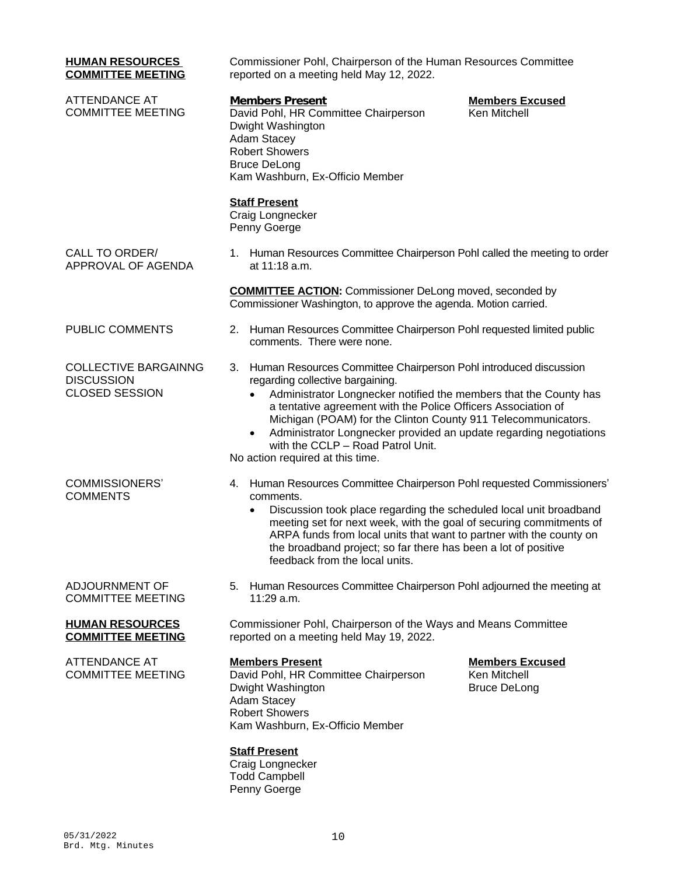| <b>HUMAN RESOURCES</b><br><b>COMMITTEE MEETING</b>                        | Commissioner Pohl, Chairperson of the Human Resources Committee<br>reported on a meeting held May 12, 2022.                                                                                                                                                                                                                                                                                                                                                                             |
|---------------------------------------------------------------------------|-----------------------------------------------------------------------------------------------------------------------------------------------------------------------------------------------------------------------------------------------------------------------------------------------------------------------------------------------------------------------------------------------------------------------------------------------------------------------------------------|
| <b>ATTENDANCE AT</b><br><b>COMMITTEE MEETING</b>                          | <b>Members Present</b><br><b>Members Excused</b><br>David Pohl, HR Committee Chairperson<br>Ken Mitchell<br>Dwight Washington<br>Adam Stacey<br><b>Robert Showers</b><br><b>Bruce DeLong</b><br>Kam Washburn, Ex-Officio Member                                                                                                                                                                                                                                                         |
|                                                                           | <b>Staff Present</b><br>Craig Longnecker<br>Penny Goerge                                                                                                                                                                                                                                                                                                                                                                                                                                |
| CALL TO ORDER/<br>APPROVAL OF AGENDA                                      | 1. Human Resources Committee Chairperson Pohl called the meeting to order<br>at 11:18 a.m.                                                                                                                                                                                                                                                                                                                                                                                              |
|                                                                           | <b>COMMITTEE ACTION:</b> Commissioner DeLong moved, seconded by<br>Commissioner Washington, to approve the agenda. Motion carried.                                                                                                                                                                                                                                                                                                                                                      |
| PUBLIC COMMENTS                                                           | 2. Human Resources Committee Chairperson Pohl requested limited public<br>comments. There were none.                                                                                                                                                                                                                                                                                                                                                                                    |
| <b>COLLECTIVE BARGAINNG</b><br><b>DISCUSSION</b><br><b>CLOSED SESSION</b> | 3. Human Resources Committee Chairperson Pohl introduced discussion<br>regarding collective bargaining.<br>Administrator Longnecker notified the members that the County has<br>$\bullet$<br>a tentative agreement with the Police Officers Association of<br>Michigan (POAM) for the Clinton County 911 Telecommunicators.<br>Administrator Longnecker provided an update regarding negotiations<br>$\bullet$<br>with the CCLP - Road Patrol Unit.<br>No action required at this time. |
| <b>COMMISSIONERS'</b><br><b>COMMENTS</b>                                  | 4. Human Resources Committee Chairperson Pohl requested Commissioners'<br>comments.<br>Discussion took place regarding the scheduled local unit broadband<br>$\bullet$<br>meeting set for next week, with the goal of securing commitments of<br>ARPA funds from local units that want to partner with the county on<br>the broadband project; so far there has been a lot of positive<br>feedback from the local units.                                                                |
| ADJOURNMENT OF<br><b>COMMITTEE MEETING</b>                                | 5. Human Resources Committee Chairperson Pohl adjourned the meeting at<br>$11:29$ a.m.                                                                                                                                                                                                                                                                                                                                                                                                  |
| <b>HUMAN RESOURCES</b><br><b>COMMITTEE MEETING</b>                        | Commissioner Pohl, Chairperson of the Ways and Means Committee<br>reported on a meeting held May 19, 2022.                                                                                                                                                                                                                                                                                                                                                                              |
| <b>ATTENDANCE AT</b><br><b>COMMITTEE MEETING</b>                          | <b>Members Present</b><br><b>Members Excused</b><br>David Pohl, HR Committee Chairperson<br>Ken Mitchell<br><b>Bruce DeLong</b><br>Dwight Washington<br>Adam Stacey<br><b>Robert Showers</b><br>Kam Washburn, Ex-Officio Member                                                                                                                                                                                                                                                         |
|                                                                           | <b>Staff Present</b><br>Craig Longnecker<br><b>Todd Campbell</b><br>Penny Goerge                                                                                                                                                                                                                                                                                                                                                                                                        |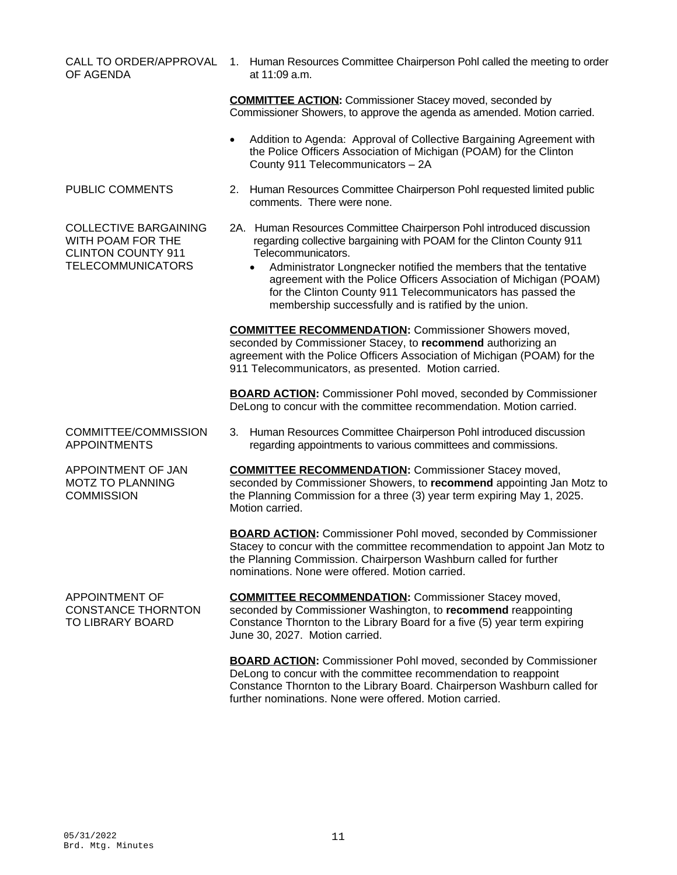|                                                                                                            | Commissioner Showers, to approve the agenda as amended. Motion carried.                                                                                                                                                                                                                                                                                                                                                                          |
|------------------------------------------------------------------------------------------------------------|--------------------------------------------------------------------------------------------------------------------------------------------------------------------------------------------------------------------------------------------------------------------------------------------------------------------------------------------------------------------------------------------------------------------------------------------------|
|                                                                                                            | Addition to Agenda: Approval of Collective Bargaining Agreement with<br>the Police Officers Association of Michigan (POAM) for the Clinton<br>County 911 Telecommunicators - 2A                                                                                                                                                                                                                                                                  |
| PUBLIC COMMENTS                                                                                            | 2. Human Resources Committee Chairperson Pohl requested limited public<br>comments. There were none.                                                                                                                                                                                                                                                                                                                                             |
| <b>COLLECTIVE BARGAINING</b><br>WITH POAM FOR THE<br><b>CLINTON COUNTY 911</b><br><b>TELECOMMUNICATORS</b> | 2A. Human Resources Committee Chairperson Pohl introduced discussion<br>regarding collective bargaining with POAM for the Clinton County 911<br>Telecommunicators.<br>Administrator Longnecker notified the members that the tentative<br>$\bullet$<br>agreement with the Police Officers Association of Michigan (POAM)<br>for the Clinton County 911 Telecommunicators has passed the<br>membership successfully and is ratified by the union. |
|                                                                                                            | <b>COMMITTEE RECOMMENDATION:</b> Commissioner Showers moved,<br>seconded by Commissioner Stacey, to recommend authorizing an<br>agreement with the Police Officers Association of Michigan (POAM) for the<br>911 Telecommunicators, as presented. Motion carried.                                                                                                                                                                                |
|                                                                                                            | <b>BOARD ACTION:</b> Commissioner Pohl moved, seconded by Commissioner<br>DeLong to concur with the committee recommendation. Motion carried.                                                                                                                                                                                                                                                                                                    |
| COMMITTEE/COMMISSION<br><b>APPOINTMENTS</b>                                                                | 3. Human Resources Committee Chairperson Pohl introduced discussion<br>regarding appointments to various committees and commissions.                                                                                                                                                                                                                                                                                                             |
| APPOINTMENT OF JAN<br><b>MOTZ TO PLANNING</b><br><b>COMMISSION</b>                                         | <b>COMMITTEE RECOMMENDATION:</b> Commissioner Stacey moved,<br>seconded by Commissioner Showers, to recommend appointing Jan Motz to<br>the Planning Commission for a three (3) year term expiring May 1, 2025.<br>Motion carried.                                                                                                                                                                                                               |
|                                                                                                            | <b>BOARD ACTION:</b> Commissioner Pohl moved, seconded by Commissioner<br>Stacey to concur with the committee recommendation to appoint Jan Motz to<br>the Planning Commission. Chairperson Washburn called for further<br>nominations. None were offered. Motion carried.                                                                                                                                                                       |
| APPOINTMENT OF<br><b>CONSTANCE THORNTON</b><br>TO LIBRARY BOARD                                            | <b>COMMITTEE RECOMMENDATION:</b> Commissioner Stacey moved,<br>seconded by Commissioner Washington, to recommend reappointing<br>Constance Thornton to the Library Board for a five (5) year term expiring<br>June 30, 2027. Motion carried.                                                                                                                                                                                                     |
|                                                                                                            | <b>BOARD ACTION:</b> Commissioner Pohl moved, seconded by Commissioner<br>DeLong to concur with the committee recommendation to reappoint<br>Constance Thornton to the Library Board. Chairperson Washburn called for<br>further nominations. None were offered. Motion carried.                                                                                                                                                                 |
|                                                                                                            |                                                                                                                                                                                                                                                                                                                                                                                                                                                  |
|                                                                                                            |                                                                                                                                                                                                                                                                                                                                                                                                                                                  |
| 05/31/2022<br>Brd. Mtg. Minutes                                                                            | 11                                                                                                                                                                                                                                                                                                                                                                                                                                               |
|                                                                                                            |                                                                                                                                                                                                                                                                                                                                                                                                                                                  |

CALL TO ORDER/APPROVAL 1. Human Resources Committee Chairperson Pohl called the meeting to order at 11:09 a.m.

> **COMMITTEE ACTION:** Commissioner Stacey moved, seconded by Commissioner Showers, to approve the agenda as amended. Motion carried.

OF AGENDA